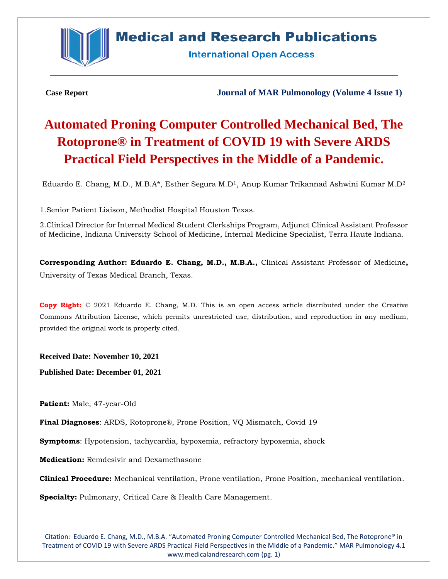

## **Medical and Research Publications**

**International Open Access** 

**Case Report Journal of MAR Pulmonology (Volume 4 Issue 1)**

# **Automated Proning Computer Controlled Mechanical Bed, The Rotoprone® in Treatment of COVID 19 with Severe ARDS Practical Field Perspectives in the Middle of a Pandemic.**

Eduardo E. Chang, M.D., M.B.A\*, Esther Segura M.D<sup>1</sup>, Anup Kumar Trikannad Ashwini Kumar M.D<sup>2</sup>

1.Senior Patient Liaison, Methodist Hospital Houston Texas.

2.Clinical Director for Internal Medical Student Clerkships Program, Adjunct Clinical Assistant Professor of Medicine, Indiana University School of Medicine, Internal Medicine Specialist, Terra Haute Indiana.

**Corresponding Author: Eduardo E. Chang, M.D., M.B.A.,** Clinical Assistant Professor of Medicine**,**  University of Texas Medical Branch, Texas.

**Copy Right:** © 2021 Eduardo E. Chang, M.D. This is an open access article distributed under the Creative Commons Attribution License, which permits unrestricted use, distribution, and reproduction in any medium, provided the original work is properly cited.

**Received Date: November 10, 2021**

**Published Date: December 01, 2021**

**Patient:** Male, 47-year-Old

**Final Diagnoses**: ARDS, Rotoprone®, Prone Position, VQ Mismatch, Covid 19

**Symptoms**: Hypotension, tachycardia, hypoxemia, refractory hypoxemia, shock

**Medication:** Remdesivir and Dexamethasone

**Clinical Procedure:** Mechanical ventilation, Prone ventilation, Prone Position, mechanical ventilation.

**Specialty:** Pulmonary, Critical Care & Health Care Management.

Citation: Eduardo E. Chang, M.D., M.B.A. "Automated Proning Computer Controlled Mechanical Bed, The Rotoprone® in Treatment of COVID 19 with Severe ARDS Practical Field Perspectives in the Middle of a Pandemic." MAR Pulmonology 4.1 [www.medicalandresearch.com](http://www.medicalandresearch.com/) (pg. 1)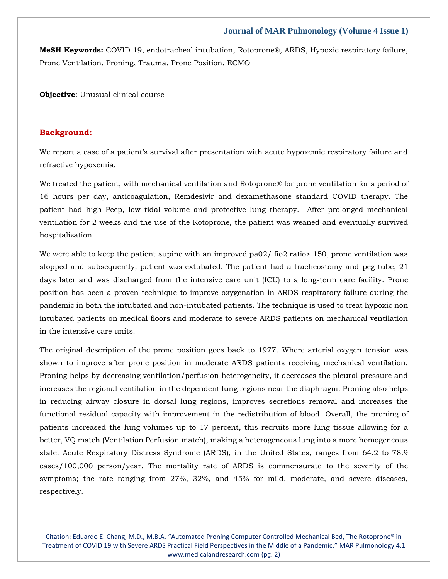**MeSH Keywords:** COVID 19, endotracheal intubation, Rotoprone®, ARDS, Hypoxic respiratory failure, Prone Ventilation, Proning, Trauma, Prone Position, ECMO

**Objective:** Unusual clinical course

#### **Background:**

We report a case of a patient's survival after presentation with acute hypoxemic respiratory failure and refractive hypoxemia.

We treated the patient, with mechanical ventilation and Rotoprone® for prone ventilation for a period of 16 hours per day, anticoagulation, Remdesivir and dexamethasone standard COVID therapy. The patient had high Peep, low tidal volume and protective lung therapy. After prolonged mechanical ventilation for 2 weeks and the use of the Rotoprone, the patient was weaned and eventually survived hospitalization.

We were able to keep the patient supine with an improved pa02/ fio2 ratio is 150, prone ventilation was stopped and subsequently, patient was extubated. The patient had a tracheostomy and peg tube, 21 days later and was discharged from the intensive care unit (ICU) to a long-term care facility. Prone position has been a proven technique to improve oxygenation in ARDS respiratory failure during the pandemic in both the intubated and non-intubated patients. The technique is used to treat hypoxic non intubated patients on medical floors and moderate to severe ARDS patients on mechanical ventilation in the intensive care units.

The original description of the prone position goes back to 1977. Where arterial oxygen tension was shown to improve after prone position in moderate ARDS patients receiving mechanical ventilation. Proning helps by decreasing ventilation/perfusion heterogeneity, it decreases the pleural pressure and increases the regional ventilation in the dependent lung regions near the diaphragm. Proning also helps in reducing airway closure in dorsal lung regions, improves secretions removal and increases the functional residual capacity with improvement in the redistribution of blood. Overall, the proning of patients increased the lung volumes up to 17 percent, this recruits more lung tissue allowing for a better, VQ match (Ventilation Perfusion match), making a heterogeneous lung into a more homogeneous state. Acute Respiratory Distress Syndrome (ARDS), in the United States, ranges from 64.2 to 78.9 cases/100,000 person/year. The mortality rate of ARDS is commensurate to the severity of the symptoms; the rate ranging from 27%, 32%, and 45% for mild, moderate, and severe diseases, respectively.

Citation: Eduardo E. Chang, M.D., M.B.A. "Automated Proning Computer Controlled Mechanical Bed, The Rotoprone® in Treatment of COVID 19 with Severe ARDS Practical Field Perspectives in the Middle of a Pandemic." MAR Pulmonology 4.1 [www.medicalandresearch.com](http://www.medicalandresearch.com/) (pg. 2)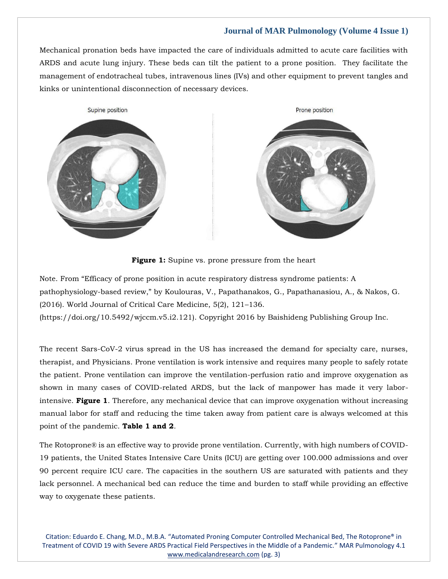Mechanical pronation beds have impacted the care of individuals admitted to acute care facilities with ARDS and acute lung injury. These beds can tilt the patient to a prone position. They facilitate the management of endotracheal tubes, intravenous lines (IVs) and other equipment to prevent tangles and kinks or unintentional disconnection of necessary devices.





Note. From "Efficacy of prone position in acute respiratory distress syndrome patients: A pathophysiology-based review," by Koulouras, V., Papathanakos, G., Papathanasiou, A., & Nakos, G. (2016). World Journal of Critical Care Medicine, 5(2), 121–136.

(https://doi.org/10.5492/wjccm.v5.i2.121). Copyright 2016 by Baishideng Publishing Group Inc.

The recent Sars-CoV-2 virus spread in the US has increased the demand for specialty care, nurses, therapist, and Physicians. Prone ventilation is work intensive and requires many people to safely rotate the patient. Prone ventilation can improve the ventilation-perfusion ratio and improve oxygenation as shown in many cases of COVID-related ARDS, but the lack of manpower has made it very laborintensive. **Figure 1**. Therefore, any mechanical device that can improve oxygenation without increasing manual labor for staff and reducing the time taken away from patient care is always welcomed at this point of the pandemic. **Table 1 and 2**.

The Rotoprone® is an effective way to provide prone ventilation. Currently, with high numbers of COVID-19 patients, the United States Intensive Care Units (ICU) are getting over 100.000 admissions and over 90 percent require ICU care. The capacities in the southern US are saturated with patients and they lack personnel. A mechanical bed can reduce the time and burden to staff while providing an effective way to oxygenate these patients.

Citation: Eduardo E. Chang, M.D., M.B.A. "Automated Proning Computer Controlled Mechanical Bed, The Rotoprone® in Treatment of COVID 19 with Severe ARDS Practical Field Perspectives in the Middle of a Pandemic." MAR Pulmonology 4.1 [www.medicalandresearch.com](http://www.medicalandresearch.com/) (pg. 3)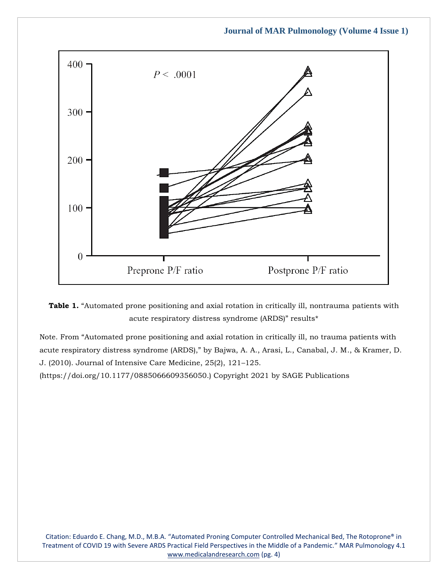



Note. From "Automated prone positioning and axial rotation in critically ill, no trauma patients with acute respiratory distress syndrome (ARDS)," by Bajwa, A. A., Arasi, L., Canabal, J. M., & Kramer, D. J. (2010). Journal of Intensive Care Medicine, 25(2), 121–125.

(https://doi.org/10.1177/0885066609356050.) Copyright 2021 by SAGE Publications

Citation: Eduardo E. Chang, M.D., M.B.A. "Automated Proning Computer Controlled Mechanical Bed, The Rotoprone® in Treatment of COVID 19 with Severe ARDS Practical Field Perspectives in the Middle of a Pandemic." MAR Pulmonology 4.1 [www.medicalandresearch.com](http://www.medicalandresearch.com/) (pg. 4)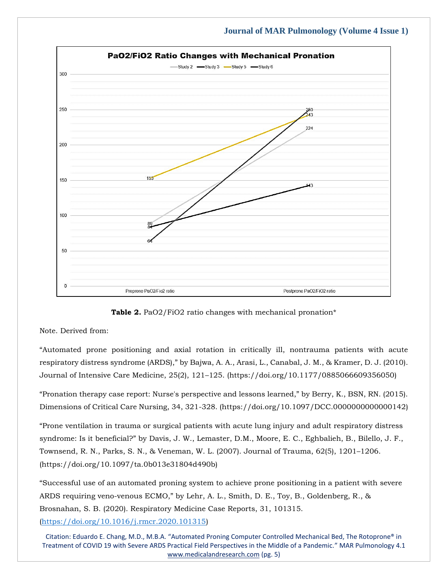

**Table 2.** PaO2/FiO2 ratio changes with mechanical pronation\*

#### Note. Derived from:

"Automated prone positioning and axial rotation in critically ill, nontrauma patients with acute respiratory distress syndrome (ARDS)," by Bajwa, A. A., Arasi, L., Canabal, J. M., & Kramer, D. J. (2010). Journal of Intensive Care Medicine, 25(2), 121–125. (https://doi.org/10.1177/0885066609356050)

"Pronation therapy case report: Nurse's perspective and lessons learned," by Berry, K., BSN, RN. (2015). Dimensions of Critical Care Nursing, 34, 321-328. (https://doi.org/10.1097/DCC.0000000000000142)

"Prone ventilation in trauma or surgical patients with acute lung injury and adult respiratory distress syndrome: Is it beneficial?" by Davis, J. W., Lemaster, D.M., Moore, E. C., Eghbalieh, B., Bilello, J. F., Townsend, R. N., Parks, S. N., & Veneman, W. L. (2007). Journal of Trauma, 62(5), 1201–1206. (https://doi.org/10.1097/ta.0b013e31804d490b)

"Successful use of an automated proning system to achieve prone positioning in a patient with severe ARDS requiring veno-venous ECMO," by Lehr, A. L., Smith, D. E., Toy, B., Goldenberg, R., & Brosnahan, S. B. (2020). Respiratory Medicine Case Reports, 31, 101315. [\(https://doi.org/10.1016/j.rmcr.2020.101315\)](https://doi.org/10.1016/j.rmcr.2020.101315)

Citation: Eduardo E. Chang, M.D., M.B.A. "Automated Proning Computer Controlled Mechanical Bed, The Rotoprone® in Treatment of COVID 19 with Severe ARDS Practical Field Perspectives in the Middle of a Pandemic." MAR Pulmonology 4.1 [www.medicalandresearch.com](http://www.medicalandresearch.com/) (pg. 5)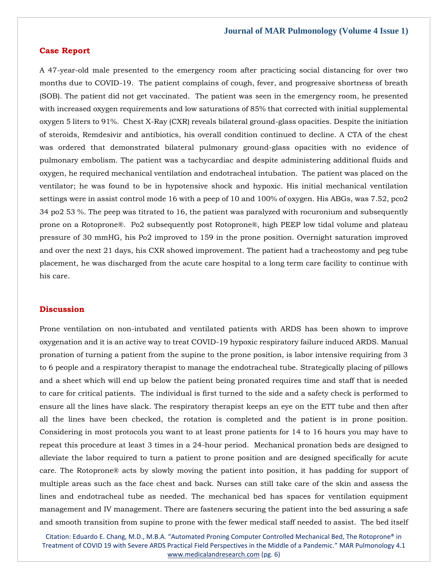#### **Case Report**

A 47-year-old male presented to the emergency room after practicing social distancing for over two months due to COVID-19. The patient complains of cough, fever, and progressive shortness of breath (SOB). The patient did not get vaccinated. The patient was seen in the emergency room, he presented with increased oxygen requirements and low saturations of 85% that corrected with initial supplemental oxygen 5 liters to 91%. Chest X-Ray (CXR) reveals bilateral ground-glass opacities. Despite the initiation of steroids, Remdesivir and antibiotics, his overall condition continued to decline. A CTA of the chest was ordered that demonstrated bilateral pulmonary ground-glass opacities with no evidence of pulmonary embolism. The patient was a tachycardiac and despite administering additional fluids and oxygen, he required mechanical ventilation and endotracheal intubation. The patient was placed on the ventilator; he was found to be in hypotensive shock and hypoxic. His initial mechanical ventilation settings were in assist control mode 16 with a peep of 10 and 100% of oxygen. His ABGs, was 7.52, pco2 34 po2 53 %. The peep was titrated to 16, the patient was paralyzed with rocuronium and subsequently prone on a Rotoprone®. Po2 subsequently post Rotoprone®, high PEEP low tidal volume and plateau pressure of 30 mmHG, his Po2 improved to 159 in the prone position. Overnight saturation improved and over the next 21 days, his CXR showed improvement. The patient had a tracheostomy and peg tube placement, he was discharged from the acute care hospital to a long term care facility to continue with his care.

#### **Discussion**

Prone ventilation on non-intubated and ventilated patients with ARDS has been shown to improve oxygenation and it is an active way to treat COVID-19 hypoxic respiratory failure induced ARDS. Manual pronation of turning a patient from the supine to the prone position, is labor intensive requiring from 3 to 6 people and a respiratory therapist to manage the endotracheal tube. Strategically placing of pillows and a sheet which will end up below the patient being pronated requires time and staff that is needed to care for critical patients. The individual is first turned to the side and a safety check is performed to ensure all the lines have slack. The respiratory therapist keeps an eye on the ETT tube and then after all the lines have been checked, the rotation is completed and the patient is in prone position. Considering in most protocols you want to at least prone patients for 14 to 16 hours you may have to repeat this procedure at least 3 times in a 24-hour period. Mechanical pronation beds are designed to alleviate the labor required to turn a patient to prone position and are designed specifically for acute care. The Rotoprone® acts by slowly moving the patient into position, it has padding for support of multiple areas such as the face chest and back. Nurses can still take care of the skin and assess the lines and endotracheal tube as needed. The mechanical bed has spaces for ventilation equipment management and IV management. There are fasteners securing the patient into the bed assuring a safe and smooth transition from supine to prone with the fewer medical staff needed to assist. The bed itself

Citation: Eduardo E. Chang, M.D., M.B.A. "Automated Proning Computer Controlled Mechanical Bed, The Rotoprone® in Treatment of COVID 19 with Severe ARDS Practical Field Perspectives in the Middle of a Pandemic." MAR Pulmonology 4.1 [www.medicalandresearch.com](http://www.medicalandresearch.com/) (pg. 6)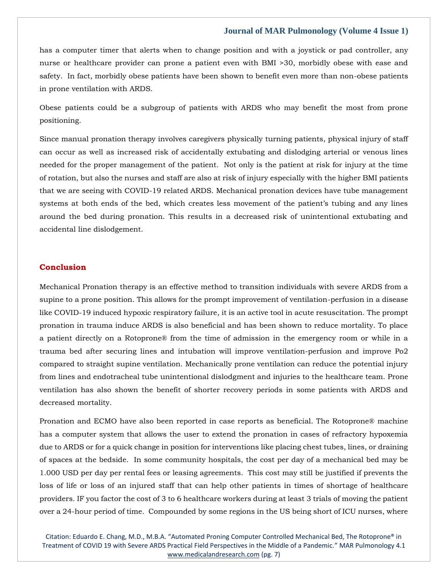has a computer timer that alerts when to change position and with a joystick or pad controller, any nurse or healthcare provider can prone a patient even with BMI >30, morbidly obese with ease and safety. In fact, morbidly obese patients have been shown to benefit even more than non-obese patients in prone ventilation with ARDS.

Obese patients could be a subgroup of patients with ARDS who may benefit the most from prone positioning.

Since manual pronation therapy involves caregivers physically turning patients, physical injury of staff can occur as well as increased risk of accidentally extubating and dislodging arterial or venous lines needed for the proper management of the patient. Not only is the patient at risk for injury at the time of rotation, but also the nurses and staff are also at risk of injury especially with the higher BMI patients that we are seeing with COVID-19 related ARDS. Mechanical pronation devices have tube management systems at both ends of the bed, which creates less movement of the patient's tubing and any lines around the bed during pronation. This results in a decreased risk of unintentional extubating and accidental line dislodgement.

#### **Conclusion**

Mechanical Pronation therapy is an effective method to transition individuals with severe ARDS from a supine to a prone position. This allows for the prompt improvement of ventilation-perfusion in a disease like COVID-19 induced hypoxic respiratory failure, it is an active tool in acute resuscitation. The prompt pronation in trauma induce ARDS is also beneficial and has been shown to reduce mortality. To place a patient directly on a Rotoprone® from the time of admission in the emergency room or while in a trauma bed after securing lines and intubation will improve ventilation-perfusion and improve Po2 compared to straight supine ventilation. Mechanically prone ventilation can reduce the potential injury from lines and endotracheal tube unintentional dislodgment and injuries to the healthcare team. Prone ventilation has also shown the benefit of shorter recovery periods in some patients with ARDS and decreased mortality.

Pronation and ECMO have also been reported in case reports as beneficial. The Rotoprone® machine has a computer system that allows the user to extend the pronation in cases of refractory hypoxemia due to ARDS or for a quick change in position for interventions like placing chest tubes, lines, or draining of spaces at the bedside. In some community hospitals, the cost per day of a mechanical bed may be 1.000 USD per day per rental fees or leasing agreements. This cost may still be justified if prevents the loss of life or loss of an injured staff that can help other patients in times of shortage of healthcare providers. IF you factor the cost of 3 to 6 healthcare workers during at least 3 trials of moving the patient over a 24-hour period of time. Compounded by some regions in the US being short of ICU nurses, where

Citation: Eduardo E. Chang, M.D., M.B.A. "Automated Proning Computer Controlled Mechanical Bed, The Rotoprone® in Treatment of COVID 19 with Severe ARDS Practical Field Perspectives in the Middle of a Pandemic." MAR Pulmonology 4.1 [www.medicalandresearch.com](http://www.medicalandresearch.com/) (pg. 7)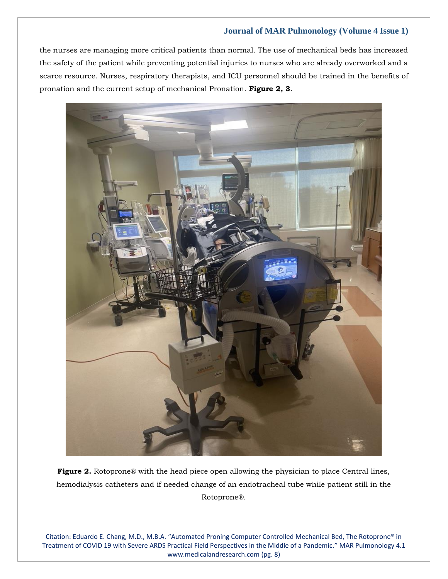the nurses are managing more critical patients than normal. The use of mechanical beds has increased the safety of the patient while preventing potential injuries to nurses who are already overworked and a scarce resource. Nurses, respiratory therapists, and ICU personnel should be trained in the benefits of pronation and the current setup of mechanical Pronation. **Figure 2, 3**.



**Figure 2.** Rotoprone® with the head piece open allowing the physician to place Central lines, hemodialysis catheters and if needed change of an endotracheal tube while patient still in the Rotoprone®.

Citation: Eduardo E. Chang, M.D., M.B.A. "Automated Proning Computer Controlled Mechanical Bed, The Rotoprone® in Treatment of COVID 19 with Severe ARDS Practical Field Perspectives in the Middle of a Pandemic." MAR Pulmonology 4.1 [www.medicalandresearch.com](http://www.medicalandresearch.com/) (pg. 8)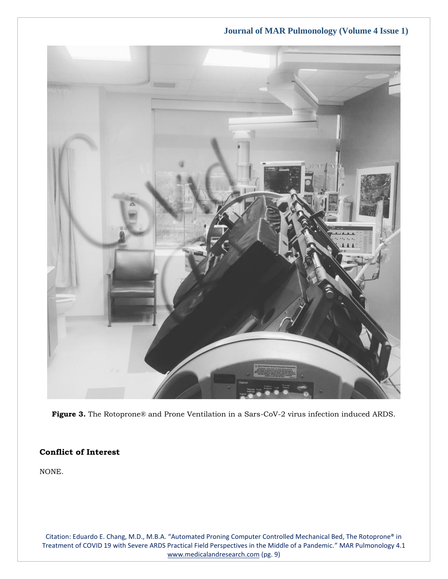**Journal of MAR Pulmonology (Volume 4 Issue 1)**



**Figure 3.** The Rotoprone® and Prone Ventilation in a Sars-CoV-2 virus infection induced ARDS.

### **Conflict of Interest**

NONE.

Citation: Eduardo E. Chang, M.D., M.B.A. "Automated Proning Computer Controlled Mechanical Bed, The Rotoprone® in Treatment of COVID 19 with Severe ARDS Practical Field Perspectives in the Middle of a Pandemic." MAR Pulmonology 4.1 [www.medicalandresearch.com](http://www.medicalandresearch.com/) (pg. 9)